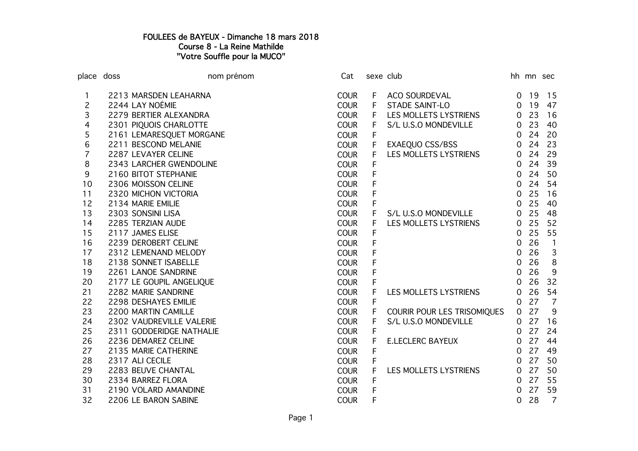## FOULEES de BAYEUX - Dimanche 18 mars 2018 Course 8 - La Reine Mathilde "Votre Souffle pour la MUCO"

| place doss     |                          | nom prénom | Cat         |             | sexe club                   |                | hh mn sec |                |
|----------------|--------------------------|------------|-------------|-------------|-----------------------------|----------------|-----------|----------------|
|                | 2213 MARSDEN LEAHARNA    |            | <b>COUR</b> | F           | <b>ACO SOURDEVAL</b>        | $\overline{0}$ | -19       | 15             |
| 2              | 2244 LAY NOÉMIE          |            | <b>COUR</b> | F           | <b>STADE SAINT-LO</b>       | $\overline{0}$ | 19        | 47             |
| 3              | 2279 BERTIER ALEXANDRA   |            | <b>COUR</b> | F           | LES MOLLETS LYSTRIENS       | $\overline{0}$ | 23        | 16             |
| 4              | 2301 PIQUOIS CHARLOTTE   |            | <b>COUR</b> | F           | S/L U.S.O MONDEVILLE        | $\overline{0}$ | 23        | 40             |
| 5              | 2161 LEMARESQUET MORGANE |            | <b>COUR</b> | F           |                             | $\overline{0}$ | 24        | 20             |
| 6              | 2211 BESCOND MELANIE     |            | <b>COUR</b> | F           | EXAEQUO CSS/BSS             | $\overline{0}$ | 24        | 23             |
| $\overline{7}$ | 2287 LEVAYER CELINE      |            | <b>COUR</b> | F           | LES MOLLETS LYSTRIENS       | $\overline{0}$ | 24        | 29             |
| 8              | 2343 LARCHER GWENDOLINE  |            | <b>COUR</b> | F           |                             | $\overline{0}$ | 24        | 39             |
| 9              | 2160 BITOT STEPHANIE     |            | <b>COUR</b> | F           |                             | $\overline{0}$ | 24        | 50             |
| 10             | 2306 MOISSON CELINE      |            | <b>COUR</b> | F           |                             | $\overline{0}$ | 24        | 54             |
| 11             | 2320 MICHON VICTORIA     |            | <b>COUR</b> | F           |                             | $\overline{0}$ | 25        | 16             |
| 12             | 2134 MARIE EMILIE        |            | <b>COUR</b> | F           |                             | $\overline{0}$ | 25        | 40             |
| 13             | 2303 SONSINI LISA        |            | <b>COUR</b> | F           | S/L U.S.O MONDEVILLE        | $\mathsf{O}$   | 25        | 48             |
| 14             | 2285 TERZIAN AUDE        |            | <b>COUR</b> | F           | LES MOLLETS LYSTRIENS       | $\overline{0}$ | 25        | 52             |
| 15             | 2117 JAMES ELISE         |            | <b>COUR</b> | F           |                             | $\overline{0}$ | 25        | 55             |
| 16             | 2239 DEROBERT CELINE     |            | <b>COUR</b> | F           |                             | $\overline{0}$ | 26        | $\mathbf{1}$   |
| 17             | 2312 LEMENAND MELODY     |            | <b>COUR</b> | F           |                             | $\mathbf 0$    | 26        | $\mathbf{3}$   |
| 18             | 2138 SONNET ISABELLE     |            | <b>COUR</b> | F           |                             | $\mathbf 0$    | 26        | 8              |
| 19             | 2261 LANOE SANDRINE      |            | <b>COUR</b> | F           |                             | $\mathbf 0$    | 26        | $9\,$          |
| 20             | 2177 LE GOUPIL ANGELIQUE |            | <b>COUR</b> | F           |                             | $\overline{0}$ | 26        | 32             |
| 21             | 2282 MARIE SANDRINE      |            | <b>COUR</b> | F           | LES MOLLETS LYSTRIENS       | $\overline{0}$ | 26        | 54             |
| 22             | 2298 DESHAYES EMILIE     |            | <b>COUR</b> | F           |                             | $\overline{0}$ | 27        | $\overline{7}$ |
| 23             | 2200 MARTIN CAMILLE      |            | <b>COUR</b> | F           | COURIR POUR LES TRISOMIQUES | $\overline{0}$ | 27        | 9              |
| 24             | 2302 VAUDREVILLE VALERIE |            | <b>COUR</b> | F           | S/L U.S.O MONDEVILLE        | $\overline{0}$ | 27        | 16             |
| 25             | 2311 GODDERIDGE NATHALIE |            | <b>COUR</b> | F           |                             | $\overline{0}$ | 27        | 24             |
| 26             | 2236 DEMAREZ CELINE      |            | <b>COUR</b> | F           | <b>E.LECLERC BAYEUX</b>     | $\overline{0}$ | 27        | 44             |
| 27             | 2135 MARIE CATHERINE     |            | <b>COUR</b> | F           |                             | $\overline{0}$ | 27        | 49             |
| 28             | 2317 ALI CECILE          |            | <b>COUR</b> | $\mathsf F$ |                             | $\overline{0}$ | 27        | 50             |
| 29             | 2283 BEUVE CHANTAL       |            | <b>COUR</b> | F           | LES MOLLETS LYSTRIENS       | $\overline{0}$ | 27        | 50             |
| 30             | 2334 BARREZ FLORA        |            | <b>COUR</b> | F           |                             | $\overline{0}$ | 27        | 55             |
| 31             | 2190 VOLARD AMANDINE     |            | <b>COUR</b> | F           |                             | $\Omega$       | 27        | 59             |
| 32             | 2206 LE BARON SABINE     |            | <b>COUR</b> | F           |                             | 0              | 28        | $\overline{7}$ |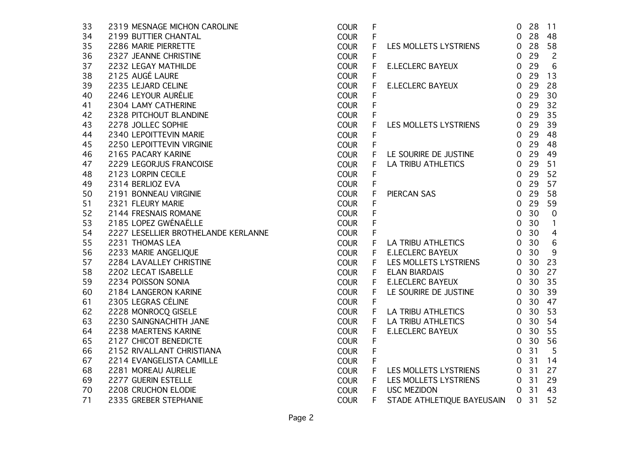| 33 | 2319 MESNAGE MICHON CAROLINE        | <b>COUR</b> | F           |                            | 0              | 28   | 11             |
|----|-------------------------------------|-------------|-------------|----------------------------|----------------|------|----------------|
| 34 | 2199 BUTTIER CHANTAL                | <b>COUR</b> | F           |                            | $\overline{0}$ | 28   | 48             |
| 35 | 2286 MARIE PIERRETTE                | <b>COUR</b> | F           | LES MOLLETS LYSTRIENS      | $\overline{0}$ | 28   | 58             |
| 36 | 2327 JEANNE CHRISTINE               | <b>COUR</b> | F           |                            | 0              | 29   | $\overline{2}$ |
| 37 | 2232 LEGAY MATHILDE                 | <b>COUR</b> | F           | <b>E.LECLERC BAYEUX</b>    | 0              | 29   | 6              |
| 38 | 2125 AUGÉ LAURE                     | <b>COUR</b> | F           |                            | $\overline{0}$ | 29   | 13             |
| 39 | 2235 LEJARD CELINE                  | <b>COUR</b> | F           | <b>E.LECLERC BAYEUX</b>    | $\overline{0}$ | 29   | 28             |
| 40 | 2246 LEYOUR AURÉLIE                 | <b>COUR</b> | F           |                            | $\overline{0}$ | 29   | 30             |
| 41 | 2304 LAMY CATHERINE                 | <b>COUR</b> | F           |                            | $\overline{0}$ | 29   | 32             |
| 42 | 2328 PITCHOUT BLANDINE              | <b>COUR</b> | F           |                            | $\overline{0}$ | 29   | 35             |
| 43 | 2278 JOLLEC SOPHIE                  | <b>COUR</b> | F           | LES MOLLETS LYSTRIENS      | $\overline{0}$ | 29   | 39             |
| 44 | 2340 LEPOITTEVIN MARIE              | <b>COUR</b> | F           |                            | $\mathbf 0$    | 29   | 48             |
| 45 | 2250 LEPOITTEVIN VIRGINIE           | <b>COUR</b> | $\mathsf F$ |                            | $\overline{0}$ | 29   | 48             |
| 46 | 2165 PACARY KARINE                  | <b>COUR</b> | F           | LE SOURIRE DE JUSTINE      | $\overline{0}$ | 29   | 49             |
| 47 | 2229 LEGORJUS FRANCOISE             | <b>COUR</b> | F           | <b>LA TRIBU ATHLETICS</b>  | $\overline{0}$ | 29   | 51             |
| 48 | 2123 LORPIN CECILE                  | <b>COUR</b> | F           |                            | $\overline{0}$ | 29   | 52             |
| 49 | 2314 BERLIOZ EVA                    | <b>COUR</b> | F           |                            | $\overline{0}$ | 29   | 57             |
| 50 | 2191 BONNEAU VIRGINIE               | <b>COUR</b> | F           | PIERCAN SAS                | $\overline{0}$ | 29   | 58             |
| 51 | 2321 FLEURY MARIE                   | <b>COUR</b> | F           |                            | $\overline{0}$ | 29   | 59             |
| 52 | 2144 FRESNAIS ROMANE                | <b>COUR</b> | F           |                            | $\overline{0}$ | 30   | $\mathbf 0$    |
| 53 | 2185 LOPEZ GWÉNAËLLE                | <b>COUR</b> | F           |                            | $\overline{0}$ | 30   | $\mathbf{1}$   |
| 54 | 2227 LESELLIER BROTHELANDE KERLANNE | <b>COUR</b> | F           |                            | $\overline{0}$ | 30   | $\overline{4}$ |
| 55 | 2231 THOMAS LEA                     | <b>COUR</b> | F           | LA TRIBU ATHLETICS         | $\overline{0}$ | 30   | $\,6\,$        |
| 56 | 2233 MARIE ANGELIQUE                | <b>COUR</b> | F.          | <b>E.LECLERC BAYEUX</b>    | $\overline{0}$ | 30   | 9              |
| 57 | 2284 LAVALLEY CHRISTINE             | <b>COUR</b> | F.          | LES MOLLETS LYSTRIENS      | $\overline{0}$ | 30   | 23             |
| 58 | 2202 LECAT ISABELLE                 | <b>COUR</b> | F.          | <b>ELAN BIARDAIS</b>       | $\overline{0}$ | 30   | 27             |
| 59 | 2234 POISSON SONIA                  | <b>COUR</b> | F           | <b>E.LECLERC BAYEUX</b>    | $\overline{0}$ | 30   | 35             |
| 60 | 2184 LANGERON KARINE                | <b>COUR</b> | F.          | LE SOURIRE DE JUSTINE      | $\overline{0}$ | 30   | 39             |
| 61 | 2305 LEGRAS CÉLINE                  | <b>COUR</b> | $\mathsf F$ |                            | $\overline{0}$ | 30   | 47             |
| 62 | 2228 MONROCQ GISELE                 | <b>COUR</b> | F           | LA TRIBU ATHLETICS         | $\overline{0}$ | 30   | 53             |
| 63 | 2230 SAINGNACHITH JANE              | <b>COUR</b> | F           | LA TRIBU ATHLETICS         | $\overline{0}$ | 30   | 54             |
| 64 | 2238 MAERTENS KARINE                | <b>COUR</b> | F.          | <b>E.LECLERC BAYEUX</b>    | 0              | 30   | 55             |
| 65 | 2127 CHICOT BENEDICTE               | <b>COUR</b> | F           |                            | $\overline{0}$ | 30   | 56             |
| 66 | 2152 RIVALLANT CHRISTIANA           | <b>COUR</b> | F           |                            | $\overline{0}$ | 31   | 5              |
| 67 | 2214 EVANGELISTA CAMILLE            | <b>COUR</b> | F           |                            | $\mathbf 0$    | 31   | 14             |
| 68 | 2281 MOREAU AURELIE                 | <b>COUR</b> | F           | LES MOLLETS LYSTRIENS      | $\overline{0}$ | 31   | 27             |
| 69 | 2277 GUERIN ESTELLE                 | <b>COUR</b> | F           | LES MOLLETS LYSTRIENS      |                | 0.31 | 29             |
| 70 | 2208 CRUCHON ELODIE                 | <b>COUR</b> | F           | <b>USC MEZIDON</b>         | $\overline{0}$ | 31   | 43             |
| 71 | 2335 GREBER STEPHANIE               | <b>COUR</b> | F.          | STADE ATHLETIQUE BAYEUSAIN | $\overline{0}$ | 31   | 52             |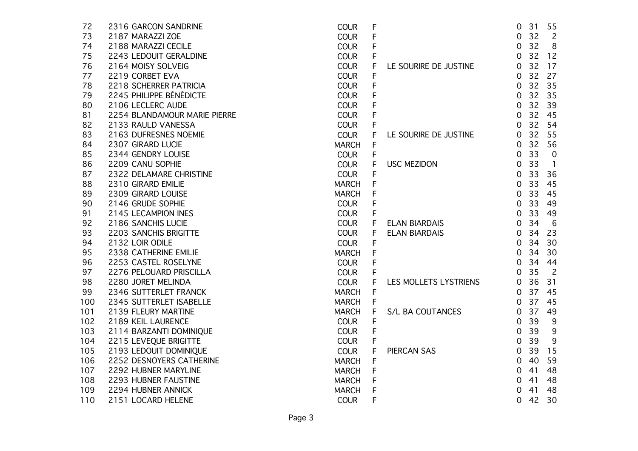| 72  | 2316 GARCON SANDRINE         | <b>COUR</b>  | F |                       | 0              | 31 | 55             |
|-----|------------------------------|--------------|---|-----------------------|----------------|----|----------------|
| 73  | 2187 MARAZZI ZOE             | <b>COUR</b>  | F |                       | $\mathbf 0$    | 32 | $\overline{c}$ |
| 74  | 2188 MARAZZI CECILE          | <b>COUR</b>  | F |                       | 0              | 32 | 8              |
| 75  | 2243 LEDOUIT GERALDINE       | <b>COUR</b>  | F |                       | 0              | 32 | 12             |
| 76  | 2164 MOISY SOLVEIG           | <b>COUR</b>  | F | LE SOURIRE DE JUSTINE | $\mathbf 0$    | 32 | 17             |
| 77  | 2219 CORBET EVA              | <b>COUR</b>  | F |                       | 0              | 32 | 27             |
| 78  | 2218 SCHERRER PATRICIA       | <b>COUR</b>  | F |                       | 0              | 32 | 35             |
| 79  | 2245 PHILIPPE BÉNÉDICTE      | <b>COUR</b>  | F |                       | $\mathbf 0$    | 32 | 35             |
| 80  | 2106 LECLERC AUDE            | <b>COUR</b>  |   |                       | 0              | 32 | 39             |
| 81  | 2254 BLANDAMOUR MARIE PIERRE | <b>COUR</b>  | F |                       | $\mathbf 0$    | 32 | 45             |
| 82  | 2133 RAULD VANESSA           | <b>COUR</b>  | F |                       | $\mathbf 0$    | 32 | 54             |
| 83  | 2163 DUFRESNES NOEMIE        | <b>COUR</b>  | F | LE SOURIRE DE JUSTINE | $\overline{0}$ | 32 | 55             |
| 84  | 2307 GIRARD LUCIE            | <b>MARCH</b> | F |                       | $\overline{0}$ | 32 | 56             |
| 85  | 2344 GENDRY LOUISE           | <b>COUR</b>  | F |                       | $\overline{0}$ | 33 | $\overline{0}$ |
| 86  | 2209 CANU SOPHIE             | <b>COUR</b>  | F | <b>USC MEZIDON</b>    | $\mathbf 0$    | 33 | $\overline{1}$ |
| 87  | 2322 DELAMARE CHRISTINE      | <b>COUR</b>  | F |                       | $\mathbf 0$    | 33 | 36             |
| 88  | 2310 GIRARD EMILIE           | <b>MARCH</b> | F |                       | $\overline{O}$ | 33 | 45             |
| 89  | 2309 GIRARD LOUISE           | <b>MARCH</b> |   |                       | $\overline{0}$ | 33 | 45             |
| 90  | 2146 GRUDE SOPHIE            | <b>COUR</b>  | F |                       | $\mathbf 0$    | 33 | 49             |
| 91  | 2145 LECAMPION INES          | <b>COUR</b>  | F |                       | $\mathbf 0$    | 33 | 49             |
| 92  | 2186 SANCHIS LUCIE           | <b>COUR</b>  | F | <b>ELAN BIARDAIS</b>  | $\mathbf 0$    | 34 | 6              |
| 93  | 2203 SANCHIS BRIGITTE        | <b>COUR</b>  | F | <b>ELAN BIARDAIS</b>  | $\mathbf 0$    | 34 | 23             |
| 94  | 2132 LOIR ODILE              | <b>COUR</b>  | F |                       | $\mathbf 0$    | 34 | 30             |
| 95  | 2338 CATHERINE EMILIE        | <b>MARCH</b> | F |                       | $\mathbf 0$    | 34 | 30             |
| 96  | 2253 CASTEL ROSELYNE         | <b>COUR</b>  | F |                       | $\mathbf 0$    | 34 | 44             |
| 97  | 2276 PELOUARD PRISCILLA      | <b>COUR</b>  | F |                       | $\overline{O}$ | 35 | $\overline{c}$ |
| 98  | 2280 JORET MELINDA           | <b>COUR</b>  | F | LES MOLLETS LYSTRIENS | $\mathbf 0$    | 36 | 31             |
| 99  | 2346 SUTTERLET FRANCK        | <b>MARCH</b> | F |                       | $\mathbf 0$    | 37 | 45             |
| 100 | 2345 SUTTERLET ISABELLE      | <b>MARCH</b> | F |                       | 0              | 37 | 45             |
| 101 | 2139 FLEURY MARTINE          | <b>MARCH</b> | F | S/L BA COUTANCES      | $\mathbf 0$    | 37 | 49             |
| 102 | 2189 KEIL LAURENCE           | <b>COUR</b>  | F |                       | $\mathbf 0$    | 39 | 9              |
| 103 | 2114 BARZANTI DOMINIQUE      | <b>COUR</b>  | F |                       | $\mathbf 0$    | 39 | 9              |
| 104 | 2215 LEVEQUE BRIGITTE        | <b>COUR</b>  | F |                       | $\mathbf{O}$   | 39 | 9              |
| 105 | 2193 LEDOUIT DOMINIQUE       | <b>COUR</b>  | F | PIERCAN SAS           | $\mathbf 0$    | 39 | 15             |
| 106 | 2252 DESNOYERS CATHERINE     | <b>MARCH</b> | F |                       | $\mathbf 0$    | 40 | 59             |
| 107 | 2292 HUBNER MARYLINE         | <b>MARCH</b> | F |                       | $\mathbf 0$    | 41 | 48             |
| 108 | 2293 HUBNER FAUSTINE         | <b>MARCH</b> | F |                       | 0              | 41 | 48             |
| 109 | 2294 HUBNER ANNICK           | <b>MARCH</b> | F |                       | 0              | 41 | 48             |
| 110 | 2151 LOCARD HELENE           | <b>COUR</b>  | F |                       | 0              | 42 | 30             |
|     |                              |              |   |                       |                |    |                |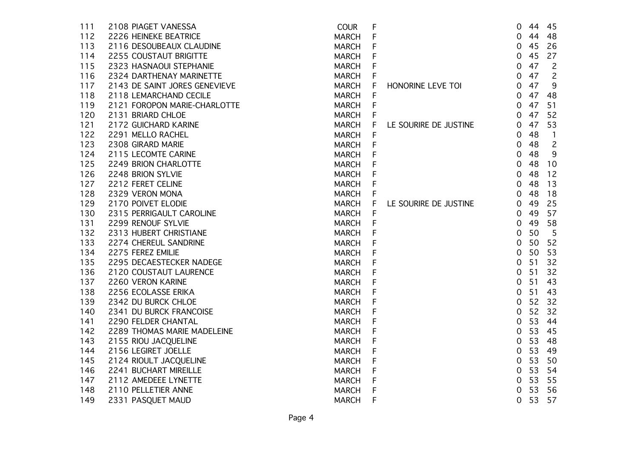| 111 | 2108 PIAGET VANESSA           | <b>COUR</b>  | F |                       | $\mathbf 0$    | 44 | 45             |
|-----|-------------------------------|--------------|---|-----------------------|----------------|----|----------------|
| 112 | 2226 HEINEKE BEATRICE         | <b>MARCH</b> | F |                       | 0              | 44 | 48             |
| 113 | 2116 DESOUBEAUX CLAUDINE      | <b>MARCH</b> | F |                       | 0              | 45 | 26             |
| 114 | <b>2255 COUSTAUT BRIGITTE</b> | <b>MARCH</b> |   |                       | $\overline{0}$ | 45 | 27             |
| 115 | 2323 HASNAOUI STEPHANIE       | <b>MARCH</b> | F |                       | 0              | 47 | $\overline{c}$ |
| 116 | 2324 DARTHENAY MARINETTE      | <b>MARCH</b> | F |                       | $\mathbf 0$    | 47 | $\overline{c}$ |
| 117 | 2143 DE SAINT JORES GENEVIEVE | <b>MARCH</b> | F | HONORINE LEVE TOI     | 0              | 47 | 9              |
| 118 | 2118 LEMARCHAND CECILE        | <b>MARCH</b> | F |                       | $\overline{0}$ | 47 | 48             |
| 119 | 2121 FOROPON MARIE-CHARLOTTE  | <b>MARCH</b> | F |                       | $\mathbf 0$    | 47 | 51             |
| 120 | 2131 BRIARD CHLOE             | <b>MARCH</b> | F |                       | $\mathbf 0$    | 47 | 52             |
| 121 | 2172 GUICHARD KARINE          | <b>MARCH</b> | F | LE SOURIRE DE JUSTINE | $\overline{0}$ | 47 | 53             |
| 122 | 2291 MELLO RACHEL             | MARCH        | F |                       | $\mathbf 0$    | 48 | $\overline{1}$ |
| 123 | 2308 GIRARD MARIE             | <b>MARCH</b> | F |                       | $\mathbf 0$    | 48 | $\overline{c}$ |
| 124 | 2115 LECOMTE CARINE           | <b>MARCH</b> | F |                       | $\overline{0}$ | 48 | 9              |
| 125 | 2249 BRION CHARLOTTE          | <b>MARCH</b> | F |                       | $\mathbf 0$    | 48 | 10             |
| 126 | 2248 BRION SYLVIE             | MARCH        | F |                       | $\mathbf 0$    | 48 | 12             |
| 127 | 2212 FERET CELINE             | <b>MARCH</b> | F |                       | 0              | 48 | 13             |
| 128 | 2329 VERON MONA               | <b>MARCH</b> | F |                       | $\overline{0}$ | 48 | 18             |
| 129 | 2170 POIVET ELODIE            | <b>MARCH</b> | F | LE SOURIRE DE JUSTINE | $\mathbf 0$    | 49 | 25             |
| 130 | 2315 PERRIGAULT CAROLINE      | <b>MARCH</b> | F |                       | 0              | 49 | 57             |
| 131 | 2299 RENOUF SYLVIE            | <b>MARCH</b> | F |                       | 0              | 49 | 58             |
| 132 | 2313 HUBERT CHRISTIANE        | <b>MARCH</b> |   |                       | $\mathbf 0$    | 50 | 5              |
| 133 | 2274 CHEREUL SANDRINE         | <b>MARCH</b> | F |                       | $\mathbf 0$    | 50 | 52             |
| 134 | 2275 FEREZ EMILIE             | <b>MARCH</b> | F |                       | $\mathbf 0$    | 50 | 53             |
| 135 | 2295 DECAESTECKER NADEGE      | <b>MARCH</b> |   |                       | $\mathbf 0$    | 51 | 32             |
| 136 | 2120 COUSTAUT LAURENCE        | <b>MARCH</b> | F |                       | $\mathbf 0$    | 51 | 32             |
| 137 | 2260 VERON KARINE             | <b>MARCH</b> | F |                       | $\mathbf 0$    | 51 | 43             |
| 138 | 2256 ECOLASSE ERIKA           | <b>MARCH</b> | F |                       | $\mathbf 0$    | 51 | 43             |
| 139 | 2342 DU BURCK CHLOE           | <b>MARCH</b> | F |                       | $\mathbf 0$    | 52 | 32             |
| 140 | 2341 DU BURCK FRANCOISE       | MARCH        | F |                       | $\mathbf 0$    | 52 | 32             |
| 141 | 2290 FELDER CHANTAL           | <b>MARCH</b> | F |                       | $\overline{0}$ | 53 | 44             |
| 142 | 2289 THOMAS MARIE MADELEINE   | <b>MARCH</b> |   |                       | $\mathbf 0$    | 53 | 45             |
| 143 | 2155 RIOU JACQUELINE          | <b>MARCH</b> |   |                       | $\mathbf 0$    | 53 | 48             |
| 144 | 2156 LEGIRET JOELLE           | <b>MARCH</b> | F |                       | $\mathbf 0$    | 53 | 49             |
| 145 | 2124 RIOULT JACQUELINE        | <b>MARCH</b> | F |                       | $\mathbf 0$    | 53 | 50             |
| 146 | 2241 BUCHART MIREILLE         | <b>MARCH</b> | F |                       | $\mathbf 0$    | 53 | 54             |
| 147 | 2112 AMEDEEE LYNETTE          | <b>MARCH</b> | F |                       | $\mathbf 0$    | 53 | 55             |
| 148 | 2110 PELLETIER ANNE           | <b>MARCH</b> | F |                       | $\mathbf 0$    | 53 | 56             |
| 149 | 2331 PASQUET MAUD             | <b>MARCH</b> | F |                       | $\mathbf 0$    | 53 | 57             |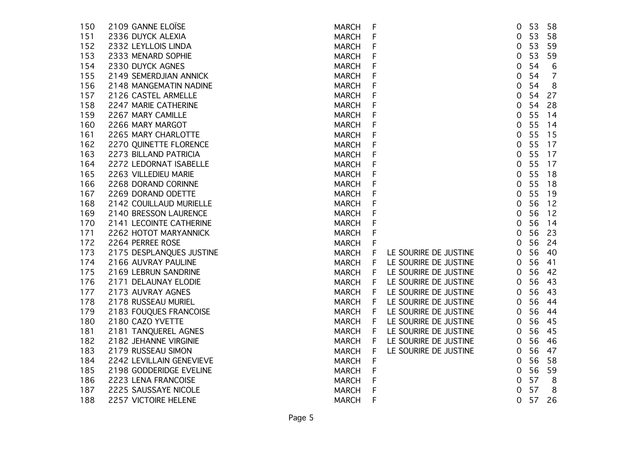| 2336 DUYCK ALEXIA<br>F<br>151<br><b>MARCH</b><br>152<br>2332 LEYLLOIS LINDA<br>F<br><b>MARCH</b><br>153<br>2333 MENARD SOPHIE<br>F<br><b>MARCH</b><br>F<br>154<br>2330 DUYCK AGNES<br><b>MARCH</b><br>155<br>F<br>2149 SEMERDJIAN ANNICK<br><b>MARCH</b><br>F<br>156<br>2148 MANGEMATIN NADINE<br><b>MARCH</b><br>F<br>157<br>2126 CASTEL ARMELLE<br><b>MARCH</b><br>F<br>158<br>2247 MARIE CATHERINE<br><b>MARCH</b><br>F<br>159<br>2267 MARY CAMILLE<br><b>MARCH</b><br>F<br>160<br>2266 MARY MARGOT<br><b>MARCH</b><br>F<br>2265 MARY CHARLOTTE<br>161<br><b>MARCH</b><br>F<br>162<br>2270 QUINETTE FLORENCE<br><b>MARCH</b><br>F<br>163<br>2273 BILLAND PATRICIA<br><b>MARCH</b><br>164<br>F<br>2272 LEDORNAT ISABELLE<br><b>MARCH</b><br>F<br>165<br>2263 VILLEDIEU MARIE<br><b>MARCH</b><br>F<br>166<br>2268 DORAND CORINNE<br><b>MARCH</b><br>167<br>2269 DORAND ODETTE<br>F<br><b>MARCH</b><br>F<br>168<br>2142 COUILLAUD MURIELLE<br><b>MARCH</b><br>2140 BRESSON LAURENCE<br>F<br>169<br><b>MARCH</b><br>F<br>170<br>2141 LECOINTE CATHERINE<br><b>MARCH</b><br>F<br>2262 HOTOT MARYANNICK<br>171<br><b>MARCH</b><br>172<br>2264 PERREE ROSE<br>F<br><b>MARCH</b><br>173<br>2175 DESPLANQUES JUSTINE<br>F<br>LE SOURIRE DE JUSTINE<br><b>MARCH</b><br>174<br>2166 AUVRAY PAULINE<br>LE SOURIRE DE JUSTINE<br><b>MARCH</b><br>F<br>175<br>2169 LEBRUN SANDRINE<br><b>MARCH</b><br>LE SOURIRE DE JUSTINE<br>F | $\mathbf 0$<br>$\mathbf 0$<br>$\overline{0}$<br>$\mathbf 0$<br>$\overline{0}$<br>0<br>$\overline{0}$<br>$\mathbf 0$<br>$\mathbf 0$<br>$\mathbf 0$<br>$\mathbf 0$ | 53<br>53<br>53<br>54<br>54<br>54<br>54<br>54<br>55 | 58<br>59<br>59<br>$\,6$<br>$\overline{7}$<br>8<br>27<br>28 |
|-----------------------------------------------------------------------------------------------------------------------------------------------------------------------------------------------------------------------------------------------------------------------------------------------------------------------------------------------------------------------------------------------------------------------------------------------------------------------------------------------------------------------------------------------------------------------------------------------------------------------------------------------------------------------------------------------------------------------------------------------------------------------------------------------------------------------------------------------------------------------------------------------------------------------------------------------------------------------------------------------------------------------------------------------------------------------------------------------------------------------------------------------------------------------------------------------------------------------------------------------------------------------------------------------------------------------------------------------------------------------------------------------------------------------|------------------------------------------------------------------------------------------------------------------------------------------------------------------|----------------------------------------------------|------------------------------------------------------------|
|                                                                                                                                                                                                                                                                                                                                                                                                                                                                                                                                                                                                                                                                                                                                                                                                                                                                                                                                                                                                                                                                                                                                                                                                                                                                                                                                                                                                                       |                                                                                                                                                                  |                                                    |                                                            |
|                                                                                                                                                                                                                                                                                                                                                                                                                                                                                                                                                                                                                                                                                                                                                                                                                                                                                                                                                                                                                                                                                                                                                                                                                                                                                                                                                                                                                       |                                                                                                                                                                  |                                                    |                                                            |
|                                                                                                                                                                                                                                                                                                                                                                                                                                                                                                                                                                                                                                                                                                                                                                                                                                                                                                                                                                                                                                                                                                                                                                                                                                                                                                                                                                                                                       |                                                                                                                                                                  |                                                    |                                                            |
|                                                                                                                                                                                                                                                                                                                                                                                                                                                                                                                                                                                                                                                                                                                                                                                                                                                                                                                                                                                                                                                                                                                                                                                                                                                                                                                                                                                                                       |                                                                                                                                                                  |                                                    |                                                            |
|                                                                                                                                                                                                                                                                                                                                                                                                                                                                                                                                                                                                                                                                                                                                                                                                                                                                                                                                                                                                                                                                                                                                                                                                                                                                                                                                                                                                                       |                                                                                                                                                                  |                                                    |                                                            |
|                                                                                                                                                                                                                                                                                                                                                                                                                                                                                                                                                                                                                                                                                                                                                                                                                                                                                                                                                                                                                                                                                                                                                                                                                                                                                                                                                                                                                       |                                                                                                                                                                  |                                                    |                                                            |
|                                                                                                                                                                                                                                                                                                                                                                                                                                                                                                                                                                                                                                                                                                                                                                                                                                                                                                                                                                                                                                                                                                                                                                                                                                                                                                                                                                                                                       |                                                                                                                                                                  |                                                    |                                                            |
|                                                                                                                                                                                                                                                                                                                                                                                                                                                                                                                                                                                                                                                                                                                                                                                                                                                                                                                                                                                                                                                                                                                                                                                                                                                                                                                                                                                                                       |                                                                                                                                                                  |                                                    |                                                            |
|                                                                                                                                                                                                                                                                                                                                                                                                                                                                                                                                                                                                                                                                                                                                                                                                                                                                                                                                                                                                                                                                                                                                                                                                                                                                                                                                                                                                                       |                                                                                                                                                                  |                                                    | 14                                                         |
|                                                                                                                                                                                                                                                                                                                                                                                                                                                                                                                                                                                                                                                                                                                                                                                                                                                                                                                                                                                                                                                                                                                                                                                                                                                                                                                                                                                                                       |                                                                                                                                                                  | 55                                                 | 14                                                         |
|                                                                                                                                                                                                                                                                                                                                                                                                                                                                                                                                                                                                                                                                                                                                                                                                                                                                                                                                                                                                                                                                                                                                                                                                                                                                                                                                                                                                                       |                                                                                                                                                                  | 55                                                 | 15                                                         |
|                                                                                                                                                                                                                                                                                                                                                                                                                                                                                                                                                                                                                                                                                                                                                                                                                                                                                                                                                                                                                                                                                                                                                                                                                                                                                                                                                                                                                       | $\mathbf 0$                                                                                                                                                      | 55                                                 | 17                                                         |
|                                                                                                                                                                                                                                                                                                                                                                                                                                                                                                                                                                                                                                                                                                                                                                                                                                                                                                                                                                                                                                                                                                                                                                                                                                                                                                                                                                                                                       | $\mathbf 0$                                                                                                                                                      | 55                                                 | 17                                                         |
|                                                                                                                                                                                                                                                                                                                                                                                                                                                                                                                                                                                                                                                                                                                                                                                                                                                                                                                                                                                                                                                                                                                                                                                                                                                                                                                                                                                                                       | $\overline{0}$                                                                                                                                                   | 55                                                 | 17                                                         |
|                                                                                                                                                                                                                                                                                                                                                                                                                                                                                                                                                                                                                                                                                                                                                                                                                                                                                                                                                                                                                                                                                                                                                                                                                                                                                                                                                                                                                       | $\mathbf 0$                                                                                                                                                      | 55                                                 | 18                                                         |
|                                                                                                                                                                                                                                                                                                                                                                                                                                                                                                                                                                                                                                                                                                                                                                                                                                                                                                                                                                                                                                                                                                                                                                                                                                                                                                                                                                                                                       | $\mathbf 0$                                                                                                                                                      | 55                                                 | 18                                                         |
|                                                                                                                                                                                                                                                                                                                                                                                                                                                                                                                                                                                                                                                                                                                                                                                                                                                                                                                                                                                                                                                                                                                                                                                                                                                                                                                                                                                                                       | $\mathbf 0$                                                                                                                                                      | 55                                                 | 19                                                         |
|                                                                                                                                                                                                                                                                                                                                                                                                                                                                                                                                                                                                                                                                                                                                                                                                                                                                                                                                                                                                                                                                                                                                                                                                                                                                                                                                                                                                                       | $\mathbf 0$                                                                                                                                                      | 56                                                 | 12                                                         |
|                                                                                                                                                                                                                                                                                                                                                                                                                                                                                                                                                                                                                                                                                                                                                                                                                                                                                                                                                                                                                                                                                                                                                                                                                                                                                                                                                                                                                       | $\overline{0}$                                                                                                                                                   | 56                                                 | 12                                                         |
|                                                                                                                                                                                                                                                                                                                                                                                                                                                                                                                                                                                                                                                                                                                                                                                                                                                                                                                                                                                                                                                                                                                                                                                                                                                                                                                                                                                                                       | 0                                                                                                                                                                | 56                                                 | 14                                                         |
|                                                                                                                                                                                                                                                                                                                                                                                                                                                                                                                                                                                                                                                                                                                                                                                                                                                                                                                                                                                                                                                                                                                                                                                                                                                                                                                                                                                                                       | 0                                                                                                                                                                | 56                                                 | 23                                                         |
|                                                                                                                                                                                                                                                                                                                                                                                                                                                                                                                                                                                                                                                                                                                                                                                                                                                                                                                                                                                                                                                                                                                                                                                                                                                                                                                                                                                                                       | $\mathbf 0$                                                                                                                                                      | 56                                                 | 24                                                         |
|                                                                                                                                                                                                                                                                                                                                                                                                                                                                                                                                                                                                                                                                                                                                                                                                                                                                                                                                                                                                                                                                                                                                                                                                                                                                                                                                                                                                                       | $\overline{0}$                                                                                                                                                   | 56                                                 | 40                                                         |
|                                                                                                                                                                                                                                                                                                                                                                                                                                                                                                                                                                                                                                                                                                                                                                                                                                                                                                                                                                                                                                                                                                                                                                                                                                                                                                                                                                                                                       | 0                                                                                                                                                                | 56                                                 | 41                                                         |
|                                                                                                                                                                                                                                                                                                                                                                                                                                                                                                                                                                                                                                                                                                                                                                                                                                                                                                                                                                                                                                                                                                                                                                                                                                                                                                                                                                                                                       | $\overline{0}$                                                                                                                                                   | 56                                                 | 42                                                         |
| LE SOURIRE DE JUSTINE<br>176<br>2171 DELAUNAY ELODIE<br><b>MARCH</b><br>F                                                                                                                                                                                                                                                                                                                                                                                                                                                                                                                                                                                                                                                                                                                                                                                                                                                                                                                                                                                                                                                                                                                                                                                                                                                                                                                                             | $\overline{0}$                                                                                                                                                   | 56                                                 | 43                                                         |
| 177<br>2173 AUVRAY AGNES<br>$\vert \mathsf{F} \vert$<br><b>MARCH</b><br>LE SOURIRE DE JUSTINE                                                                                                                                                                                                                                                                                                                                                                                                                                                                                                                                                                                                                                                                                                                                                                                                                                                                                                                                                                                                                                                                                                                                                                                                                                                                                                                         | $\overline{0}$                                                                                                                                                   | 56                                                 | 43                                                         |
| 178<br>2178 RUSSEAU MURIEL<br>LE SOURIRE DE JUSTINE<br><b>MARCH</b><br>F                                                                                                                                                                                                                                                                                                                                                                                                                                                                                                                                                                                                                                                                                                                                                                                                                                                                                                                                                                                                                                                                                                                                                                                                                                                                                                                                              | $\overline{0}$                                                                                                                                                   | 56                                                 | 44                                                         |
| 179<br>2183 FOUQUES FRANCOISE<br>F<br>LE SOURIRE DE JUSTINE<br><b>MARCH</b>                                                                                                                                                                                                                                                                                                                                                                                                                                                                                                                                                                                                                                                                                                                                                                                                                                                                                                                                                                                                                                                                                                                                                                                                                                                                                                                                           | $\overline{0}$                                                                                                                                                   | 56                                                 | 44                                                         |
| 180<br>2180 CAZO YVETTE<br>F<br>LE SOURIRE DE JUSTINE<br><b>MARCH</b>                                                                                                                                                                                                                                                                                                                                                                                                                                                                                                                                                                                                                                                                                                                                                                                                                                                                                                                                                                                                                                                                                                                                                                                                                                                                                                                                                 | $\overline{0}$                                                                                                                                                   | 56                                                 | 45                                                         |
| 181<br>2181 TANQUEREL AGNES<br>LE SOURIRE DE JUSTINE<br>MARCH<br>F                                                                                                                                                                                                                                                                                                                                                                                                                                                                                                                                                                                                                                                                                                                                                                                                                                                                                                                                                                                                                                                                                                                                                                                                                                                                                                                                                    | $\overline{0}$                                                                                                                                                   | 56                                                 | 45                                                         |
| 182<br>LE SOURIRE DE JUSTINE<br>2182 JEHANNE VIRGINIE<br><b>MARCH</b><br>F                                                                                                                                                                                                                                                                                                                                                                                                                                                                                                                                                                                                                                                                                                                                                                                                                                                                                                                                                                                                                                                                                                                                                                                                                                                                                                                                            | $\mathbf 0$                                                                                                                                                      | 56                                                 | 46                                                         |
| 183<br>2179 RUSSEAU SIMON<br><b>MARCH</b><br>F<br>LE SOURIRE DE JUSTINE                                                                                                                                                                                                                                                                                                                                                                                                                                                                                                                                                                                                                                                                                                                                                                                                                                                                                                                                                                                                                                                                                                                                                                                                                                                                                                                                               | $\mathbf 0$                                                                                                                                                      | 56                                                 | 47                                                         |
| F<br>184<br>2242 LEVILLAIN GENEVIEVE<br><b>MARCH</b>                                                                                                                                                                                                                                                                                                                                                                                                                                                                                                                                                                                                                                                                                                                                                                                                                                                                                                                                                                                                                                                                                                                                                                                                                                                                                                                                                                  | 0                                                                                                                                                                | 56                                                 | 58                                                         |
| F<br>185<br>2198 GODDERIDGE EVELINE<br><b>MARCH</b>                                                                                                                                                                                                                                                                                                                                                                                                                                                                                                                                                                                                                                                                                                                                                                                                                                                                                                                                                                                                                                                                                                                                                                                                                                                                                                                                                                   | $\overline{0}$                                                                                                                                                   | 56                                                 | 59                                                         |
| F<br>186<br>2223 LENA FRANCOISE<br><b>MARCH</b>                                                                                                                                                                                                                                                                                                                                                                                                                                                                                                                                                                                                                                                                                                                                                                                                                                                                                                                                                                                                                                                                                                                                                                                                                                                                                                                                                                       | 0                                                                                                                                                                | 57                                                 | 8                                                          |
| F<br>187<br>2225 SAUSSAYE NICOLE<br><b>MARCH</b>                                                                                                                                                                                                                                                                                                                                                                                                                                                                                                                                                                                                                                                                                                                                                                                                                                                                                                                                                                                                                                                                                                                                                                                                                                                                                                                                                                      | $\mathbf 0$                                                                                                                                                      | 57                                                 | 8                                                          |
| F<br>188<br>2257 VICTOIRE HELENE<br><b>MARCH</b>                                                                                                                                                                                                                                                                                                                                                                                                                                                                                                                                                                                                                                                                                                                                                                                                                                                                                                                                                                                                                                                                                                                                                                                                                                                                                                                                                                      | $\mathbf 0$                                                                                                                                                      | 57                                                 | 26                                                         |